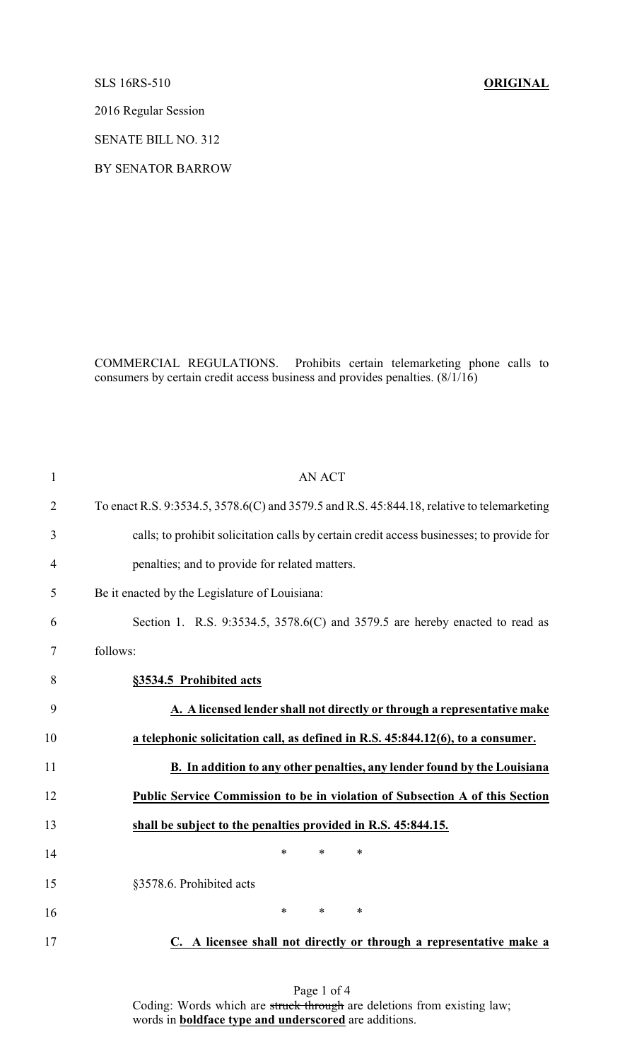SLS 16RS-510 **ORIGINAL**

2016 Regular Session

SENATE BILL NO. 312

BY SENATOR BARROW

COMMERCIAL REGULATIONS. Prohibits certain telemarketing phone calls to consumers by certain credit access business and provides penalties. (8/1/16)

| 1              | <b>AN ACT</b>                                                                              |
|----------------|--------------------------------------------------------------------------------------------|
| $\overline{2}$ | To enact R.S. 9:3534.5, 3578.6(C) and 3579.5 and R.S. 45:844.18, relative to telemarketing |
| 3              | calls; to prohibit solicitation calls by certain credit access businesses; to provide for  |
| $\overline{4}$ | penalties; and to provide for related matters.                                             |
| 5              | Be it enacted by the Legislature of Louisiana:                                             |
| 6              | Section 1. R.S. 9:3534.5, 3578.6(C) and 3579.5 are hereby enacted to read as               |
| 7              | follows:                                                                                   |
| 8              | §3534.5 Prohibited acts                                                                    |
| 9              | A. A licensed lender shall not directly or through a representative make                   |
| 10             | a telephonic solicitation call, as defined in R.S. 45:844.12(6), to a consumer.            |
| 11             | <b>B.</b> In addition to any other penalties, any lender found by the Louisiana            |
| 12             | Public Service Commission to be in violation of Subsection A of this Section               |
| 13             | shall be subject to the penalties provided in R.S. 45:844.15.                              |
| 14             | $\ast$<br>$\ast$<br>*                                                                      |
| 15             | §3578.6. Prohibited acts                                                                   |
| 16             | *<br>$\ast$<br>∗                                                                           |
| 17             | C. A licensee shall not directly or through a representative make a                        |

Page 1 of 4 Coding: Words which are struck through are deletions from existing law; words in **boldface type and underscored** are additions.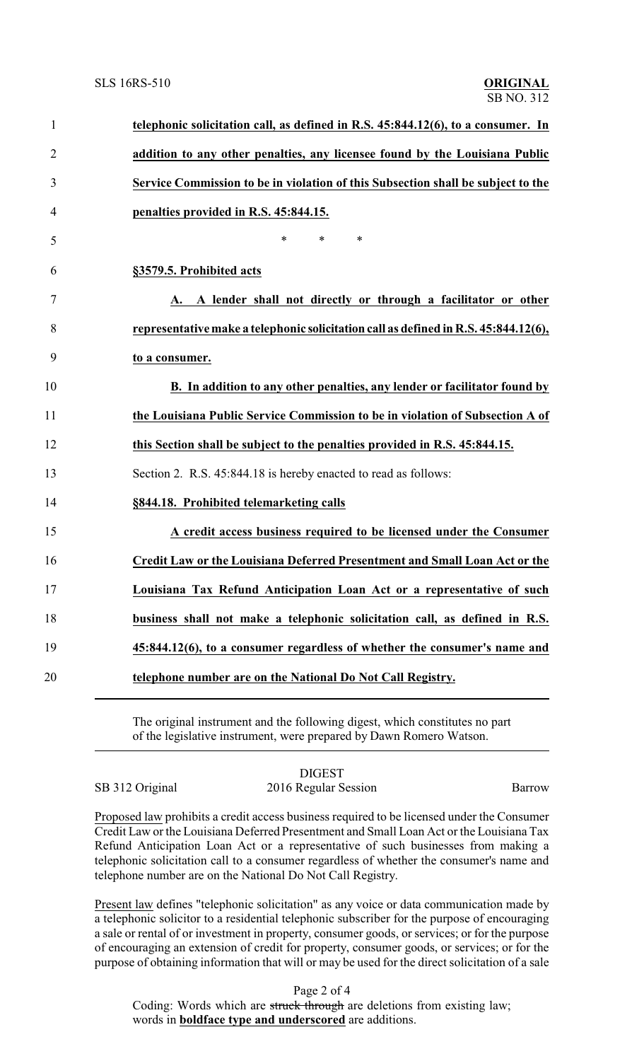| $\mathbf{1}$   | telephonic solicitation call, as defined in R.S. 45:844.12(6), to a consumer. In    |
|----------------|-------------------------------------------------------------------------------------|
| $\overline{2}$ | addition to any other penalties, any licensee found by the Louisiana Public         |
| 3              | Service Commission to be in violation of this Subsection shall be subject to the    |
| 4              | penalties provided in R.S. 45:844.15.                                               |
| 5              | $\ast$<br>$\ast$<br>∗                                                               |
| 6              | §3579.5. Prohibited acts                                                            |
| 7              | A. A lender shall not directly or through a facilitator or other                    |
| 8              | representative make a telephonic solicitation call as defined in R.S. 45:844.12(6), |
| 9              | to a consumer.                                                                      |
| 10             | B. In addition to any other penalties, any lender or facilitator found by           |
| 11             | the Louisiana Public Service Commission to be in violation of Subsection A of       |
| 12             | this Section shall be subject to the penalties provided in R.S. 45:844.15.          |
| 13             | Section 2. R.S. 45:844.18 is hereby enacted to read as follows:                     |
| 14             | §844.18. Prohibited telemarketing calls                                             |
| 15             | A credit access business required to be licensed under the Consumer                 |
| 16             | Credit Law or the Louisiana Deferred Presentment and Small Loan Act or the          |
| 17             | Louisiana Tax Refund Anticipation Loan Act or a representative of such              |
| 18             | business shall not make a telephonic solicitation call, as defined in R.S.          |
| 19             | 45:844.12(6), to a consumer regardless of whether the consumer's name and           |
| 20             | telephone number are on the National Do Not Call Registry.                          |
|                |                                                                                     |

The original instrument and the following digest, which constitutes no part of the legislative instrument, were prepared by Dawn Romero Watson.

DIGEST SB 312 Original 2016 Regular Session Barrow

Proposed law prohibits a credit access business required to be licensed under the Consumer Credit Law or the Louisiana Deferred Presentment and Small Loan Act or the Louisiana Tax Refund Anticipation Loan Act or a representative of such businesses from making a telephonic solicitation call to a consumer regardless of whether the consumer's name and telephone number are on the National Do Not Call Registry.

Present law defines "telephonic solicitation" as any voice or data communication made by a telephonic solicitor to a residential telephonic subscriber for the purpose of encouraging a sale or rental of or investment in property, consumer goods, or services; or for the purpose of encouraging an extension of credit for property, consumer goods, or services; or for the purpose of obtaining information that will or may be used for the direct solicitation of a sale

Page 2 of 4

Coding: Words which are struck through are deletions from existing law; words in **boldface type and underscored** are additions.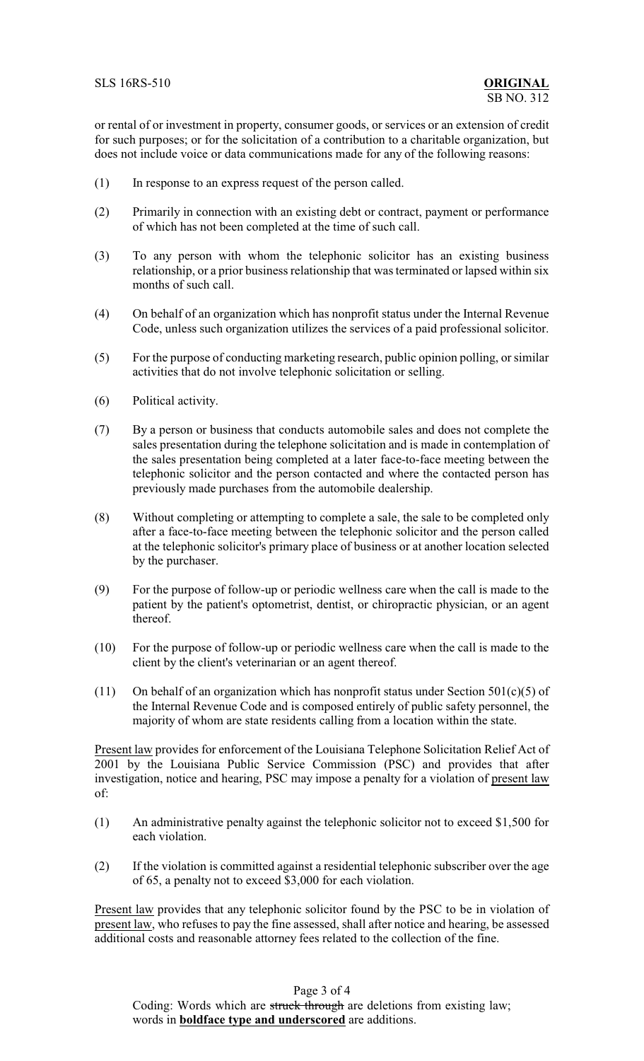or rental of or investment in property, consumer goods, or services or an extension of credit for such purposes; or for the solicitation of a contribution to a charitable organization, but does not include voice or data communications made for any of the following reasons:

- (1) In response to an express request of the person called.
- (2) Primarily in connection with an existing debt or contract, payment or performance of which has not been completed at the time of such call.
- (3) To any person with whom the telephonic solicitor has an existing business relationship, or a prior business relationship that was terminated or lapsed within six months of such call.
- (4) On behalf of an organization which has nonprofit status under the Internal Revenue Code, unless such organization utilizes the services of a paid professional solicitor.
- (5) For the purpose of conducting marketing research, public opinion polling, or similar activities that do not involve telephonic solicitation or selling.
- (6) Political activity.
- (7) By a person or business that conducts automobile sales and does not complete the sales presentation during the telephone solicitation and is made in contemplation of the sales presentation being completed at a later face-to-face meeting between the telephonic solicitor and the person contacted and where the contacted person has previously made purchases from the automobile dealership.
- (8) Without completing or attempting to complete a sale, the sale to be completed only after a face-to-face meeting between the telephonic solicitor and the person called at the telephonic solicitor's primary place of business or at another location selected by the purchaser.
- (9) For the purpose of follow-up or periodic wellness care when the call is made to the patient by the patient's optometrist, dentist, or chiropractic physician, or an agent thereof.
- (10) For the purpose of follow-up or periodic wellness care when the call is made to the client by the client's veterinarian or an agent thereof.
- (11) On behalf of an organization which has nonprofit status under Section  $501(c)(5)$  of the Internal Revenue Code and is composed entirely of public safety personnel, the majority of whom are state residents calling from a location within the state.

Present law provides for enforcement of the Louisiana Telephone Solicitation Relief Act of 2001 by the Louisiana Public Service Commission (PSC) and provides that after investigation, notice and hearing, PSC may impose a penalty for a violation of present law of:

- (1) An administrative penalty against the telephonic solicitor not to exceed \$1,500 for each violation.
- (2) If the violation is committed against a residential telephonic subscriber over the age of 65, a penalty not to exceed \$3,000 for each violation.

Present law provides that any telephonic solicitor found by the PSC to be in violation of present law, who refuses to pay the fine assessed, shall after notice and hearing, be assessed additional costs and reasonable attorney fees related to the collection of the fine.

Page 3 of 4 Coding: Words which are struck through are deletions from existing law; words in **boldface type and underscored** are additions.